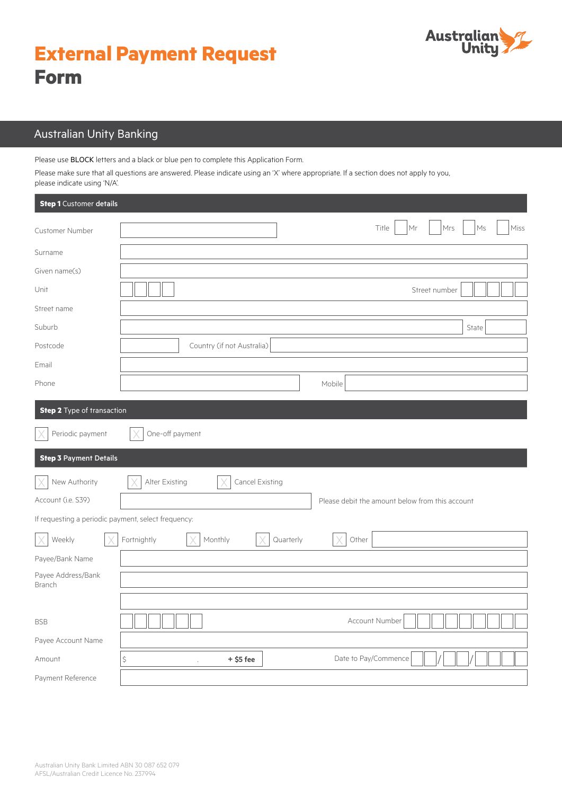# **External Payment Request Form**



## Australian Unity Banking

Please use BLOCK letters and a black or blue pen to complete this Application Form.

Please make sure that all questions are answered. Please indicate using an 'X' where appropriate. If a section does not apply to you, please indicate using 'N/A'.

| <b>Step 1</b> Customer details                      |                                                      |  |  |
|-----------------------------------------------------|------------------------------------------------------|--|--|
| <b>Customer Number</b>                              | Title<br>Mr<br>Mrs<br>Miss<br>Ms                     |  |  |
| Surname                                             |                                                      |  |  |
| Given name(s)                                       |                                                      |  |  |
| Unit                                                | Street number                                        |  |  |
| Street name                                         |                                                      |  |  |
| Suburb                                              | State                                                |  |  |
| Postcode                                            | Country (if not Australia)                           |  |  |
| Email                                               |                                                      |  |  |
| Phone                                               | Mobile                                               |  |  |
| <b>Step 2</b> Type of transaction                   |                                                      |  |  |
| Periodic payment                                    | One-off payment                                      |  |  |
| <b>Step 3 Payment Details</b>                       |                                                      |  |  |
| New Authority                                       | Cancel Existing<br>Alter Existing                    |  |  |
| Account (i.e. S39)                                  | Please debit the amount below from this account      |  |  |
| If requesting a periodic payment, select frequency: |                                                      |  |  |
| Weekly                                              | Fortnightly<br>Monthly<br>Quarterly<br>Other         |  |  |
| Payee/Bank Name                                     |                                                      |  |  |
| Payee Address/Bank<br>Branch                        |                                                      |  |  |
|                                                     |                                                      |  |  |
| <b>BSB</b>                                          | Account Number                                       |  |  |
| Payee Account Name                                  |                                                      |  |  |
| Amount                                              | \$<br>Date to Pay/Commence<br>$+$ \$5 fee<br>$\cdot$ |  |  |
| Payment Reference                                   |                                                      |  |  |